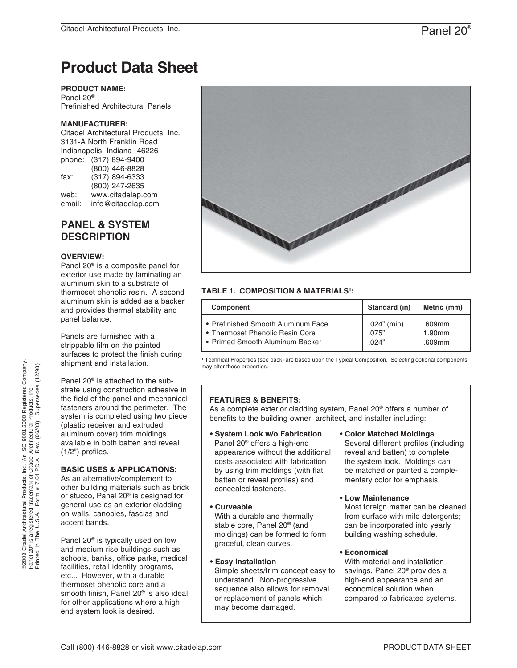# **Product Data Sheet**

**PRODUCT NAME:**

Panel 20® Prefinished Architectural Panels

# **MANUFACTURER:**

Citadel Architectural Products, Inc. 3131-A North Franklin Road Indianapolis, Indiana 46226 phone: (317) 894-9400 (800) 446-8828 fax: (317) 894-6333 (800) 247-2635 web: www.citadelap.com email: info@citadelap.com

# **PANEL & SYSTEM DESCRIPTION**

#### **OVERVIEW:**

Panel 20® is a composite panel for exterior use made by laminating an aluminum skin to a substrate of thermoset phenolic resin. A second aluminum skin is added as a backer and provides thermal stability and panel balance.

Panels are furnished with a strippable film on the painted surfaces to protect the finish during shipment and installation.

Panel 20® is attached to the substrate using construction adhesive in the field of the panel and mechanical fasteners around the perimeter. The system is completed using two piece (plastic receiver and extruded aluminum cover) trim moldings available in both batten and reveal (1/2") profiles.

### **BASIC USES & APPLICATIONS:**

As an alternative/complement to other building materials such as brick or stucco, Panel 20® is designed for general use as an exterior cladding on walls, canopies, fascias and accent bands.

Panel 20® is typically used on low and medium rise buildings such as schools, banks, office parks, medical facilities, retail identity programs, etc... However, with a durable thermoset phenolic core and a smooth finish, Panel 20® is also ideal for other applications where a high end system look is desired.



# **TABLE 1. COMPOSITION & MATERIALS<sup>1</sup>:**

| Component                          | Standard (in)  | Metric (mm) |
|------------------------------------|----------------|-------------|
| • Prefinished Smooth Aluminum Face | $.024$ " (min) | .609mm      |
| • Thermoset Phenolic Resin Core    | .075"          | 1.90mm      |
| Primed Smooth Aluminum Backer      | .024"          | .609mm      |

<sup>1</sup> Technical Properties (see back) are based upon the Typical Composition. Selecting optional components may alter these properties.

### **FEATURES & BENEFITS:**

As a complete exterior cladding system, Panel 20® offers a number of benefits to the building owner, architect, and installer including:

- **System Look w/o Fabrication** Panel 20® offers a high-end appearance without the additional costs associated with fabrication by using trim moldings (with flat batten or reveal profiles) and concealed fasteners.
- **Curveable**

 With a durable and thermally stable core, Panel 20® (and moldings) can be formed to form graceful, clean curves.

### **• Easy Installation**

 Simple sheets/trim concept easy to understand. Non-progressive sequence also allows for removal or replacement of panels which may become damaged.

- **Color Matched Moldings** Several different profiles (including reveal and batten) to complete the system look. Moldings can be matched or painted a comple mentary color for emphasis.
- **Low Maintenance**

 Most foreign matter can be cleaned from surface with mild detergents; can be incorporated into yearly building washing schedule.

### **• Economical**

 With material and installation savings, Panel 20® provides a high-end appearance and an economical solution when compared to fabricated systems.